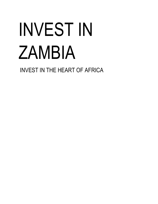# INVEST IN ZAMBIA

INVEST IN THE HEART OF AFRICA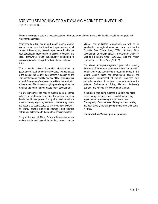# <span id="page-1-0"></span>ARE YOU SEARCHING FOR A DYNAMIC MARKET TO INVEST IN?

LOOK NO FURTHER…….

If you are looking for a safe and robust investment, there are plenty of good reasons why Zambia should be your preferred investment destination.

Apart from its radiant beauty and friendly people, Zambia has abundant lucrative investment opportunities in all sectors of the economy. Since independence, Zambia has been steadfast in strengthening its political, economic, and social frameworks, which subsequently contributed to establishing Zambia as a preferred investment destination in Africa.

With a stable political foundation characterized by governance through democratically elected representatives of the people, the Country has become a beacon on the Continent for peace, stability, and rule of law. Strong political will and Governments' endeavor to facilitate the realization of the dreams of its citizens through appropriate policies has remained the cornerstone of private sector development.

We are cognisant of the need to sustain macro-economic stability if we are to achieve sustainable economic and social development for our people. Through the development of a robust monetary regulatory framework, the banking system has become as sophisticated as any world class system in the world, offering numerous packages and financial instruments tailor-made to the needs of specific investors.

Sitting at the heart of Africa, Zambia offers access to vast markets within and beyond its borders through various

bilateral and multilateral agreements as well as its membership to regional economic blocs such as the Tripartite Free Trade Area, (TFTA) Southern Africa Development Community (SADC), the Common Market for East and Southern Africa (COMESA), and the African Continental Free Trade Area (AfCFTA).

The national development agenda is premised on meeting the needs of the current generation without compromising the ability of future generations to meet their needs. In that regard, Zambia takes her commitments towards the sustainable management of natural resources very seriously, as shown in national documents such as the National Environmental Policy, National Biodiversity Strategy, and National Policy on Climate Change.

In the recent past, doing business in Zambia was made easier through various reforms aimed at streamlining regulation and business registration procedures. Consequently, Zambia's ease of doing business ranking has been steadily improving compared to most of its peers in Africa.

**Look no further. We are open for business.**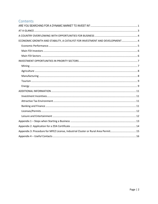# Contents

| ECONOMIC GROWTH AND STABILITY, A CATALYST FOR INVESTMENT AND DEVELOPMENT 4        |
|-----------------------------------------------------------------------------------|
|                                                                                   |
|                                                                                   |
|                                                                                   |
|                                                                                   |
|                                                                                   |
|                                                                                   |
|                                                                                   |
|                                                                                   |
|                                                                                   |
|                                                                                   |
|                                                                                   |
|                                                                                   |
|                                                                                   |
|                                                                                   |
|                                                                                   |
|                                                                                   |
|                                                                                   |
| Appendix 3: Procedure for MFEZ License, Industrial Cluster or Rural Area Permit15 |
|                                                                                   |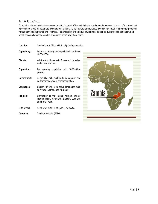# <span id="page-3-0"></span>AT A GLANCE

Zambia is a vibrant middle-income country at the heart of Africa, rich in history and natural resources. It is one of the friendliest places in the world for adventure living orworking from.. Its rich cultural and religious diversity has made it a home for people of various ethnic backgrounds and lifestyles. The availability of a tranquil environment as well as quality social, education, and health services has made Zambia a preferred home away from home.

| Location:            | South-Central Africa with 8 neighboring countries.                                                              |  |  |
|----------------------|-----------------------------------------------------------------------------------------------------------------|--|--|
| <b>Capital City:</b> | Lusaka, a growing cosmopolitan city and seat<br>of COMESA.                                                      |  |  |
| Climate:             | sub-tropical climate with 3 seasons' i.e. rainy,<br>winter, and summer.                                         |  |  |
| Population:          | fast growing population with 18.82million<br>people.                                                            |  |  |
| Government:          | A republic with multi-party democracy and<br>parliamentary system of representation.                            |  |  |
| Languages:           | English (official), with native languages such<br>as Nyanja, Bemba, and 71 others.                              |  |  |
| <b>Religion:</b>     | Christianity is the largest religion. Others<br>include Islam, Hinduism, Sikhism, Judaism,<br>and Baha'i Faith. |  |  |
| Time Zone:           | Greenwich Mean Time (GMT) +2 hours.                                                                             |  |  |
| Currency:            | Zambian Kwacha (ZMW)                                                                                            |  |  |

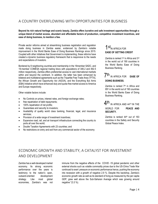# <span id="page-4-0"></span>A COUNTRY OVERFLOWING WITH OPPORTUNITIES FOR BUSINESS

**Beyond its rich natural heritage and scenic beauty, Zambia offers lucrative and safe investment opportunities through a unique blend of market access, abundant and affordable factors of production, competitive investment incentives, and ease of doing business, to mention a few.**

Private sector reforms aimed at streamlining business registration and regulation made doing business in Zambia easier, evidenced by Zambia's notable improvement in the World Banks Ease of Doing Business Rankings since 2015. Coupled with other initiatives that Government is implementing, these reforms have created a dynamic business regulatory framework that is responsive to the needs and expectations of investors.

Bordered by 8 neighboring countries and membership in the 16member SADC, and 19-member COMESA regional trading blocs with populations of 346.2 and 492.5 million respectively, Zambia offers preferential access to vast international markets within and beyond the continent. In addition, the latter has been enhanced by bilateral and multilateral agreements such as the Tripartite Free Trade Area (TFTA), the African Growth and Opportunity Act (AGOA), and the Everything But Arms (EBA) Initiative which have enhanced duty and quota-free market access to America and Europe respectively.

Other notable factors include:

- No Controls on prices, interest rates, and foreign exchange rates;
- free repatriation of debt repayments;
- 100% repatriation of net profits;
- Guarantees and security to investors;
- Availability of quality world class banking, financial, legal, and insurance services;
- Provision of a wide range of investment incentives;
- Expansive road, rail, and air transport infrastructure connecting the country to ports all over the world;
- Double Taxation Agreements with 23 countries; and
- No restrictions on entry and exit from any commercial sector of the economy

# 1 St<sub>IN AFRICA FOR</sub> **EASE OF GETTING CREDIT**

Zambia is ranked 1<sup>st</sup> in Africa and 3<sup>rd</sup> in the world out of 190 countries in the World Banks Ease of Doing Business Ranking.

7 th IN AFRICA FOR **EASE OF DOING BUSINESS.**

Zambia is ranked 7th in Africa and 85<sup>th</sup> in the world out of 190 countries in the World Banks Ease of Doing Business Ranking.

 $4^{\rm th}$  in africa and 44th in the

WORLD FOR **PEACE AND SECURITY.**

Zambia is ranked 44th out of 163 countries in the Safety and Security Global Peace Index.

# <span id="page-4-1"></span>ECONOMIC GROWTH AND STABILITY, A CATALYST FOR INVESTMENT AND DEVELOPMENT

Zambia has a well-developed market economy. Its strong economic performance over the years is testimony to the nation's open, outward-oriented development strategy. Like most global economies, Zambia's was not

immune from the negative effects of the COVID -19 global pandemic and other external shocks such as volatile commodity prices due to the US-China Trade War continued to exert pressure on economic performance hence, pushing the economy into recession with a growth of negative 2.9 %. Despite this backdrop, Zambia's economic growth rate as well as its standard of living as measured by the per capita GDP, grew well above the Sub-Saharan Average which was growing around negative \*(3.3 %).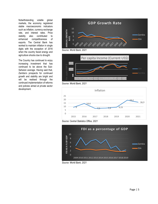Notwithstanding volatile global markets, the economy registered stable macroeconomic indicators such as inflation, currency exchange rate, and interest rates. Price stability also contributed to enhanced competitiveness of exports. The Central Bank has worked to maintain inflation in single digits with the exception of 2016 when the country faced energy and agriculture shocks due to drought.

<span id="page-5-0"></span>The Country has continued to enjoy increasing investment that has continued to be above the Sub-Saharan average. Having said that, Zambia's prospects for continued growth and stability are bright and will be realised through the continued implementation of reforms and policies aimed at private sector development.



*Source: World Bank, 2021*



*Source: World Bank, 2021*





*Source: World Bank, 2021*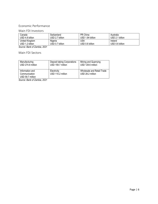# Economic Performance

# <span id="page-6-0"></span>Main FDI Investors

| Canada                            | Switzerland                | PR China               | Australia<br>billion<br><b>USD 2.1</b> |
|-----------------------------------|----------------------------|------------------------|----------------------------------------|
| USD 4.8 billion                   | USD 2.7 billion            | USD 1.84 billion       |                                        |
| United Kingdom<br>USD 1.2 billion | Nigeria<br>USD 0.7 billion | USA<br>USD 0.6 billion | Ireland<br>USD 0.6 billion             |

*Source: Bank of Zambia, 2021*

<span id="page-6-1"></span>Main FDI Sectors

| Manufacturing                                        | Deposit taking Corporations      | Mining and Quarrying                           |
|------------------------------------------------------|----------------------------------|------------------------------------------------|
| USD 274.8 million                                    | USD 159.7 million                | USD 129.6 million                              |
| Information and<br>Communication<br>USD 59.7 million | Electricity<br>USD 110.2 million | Wholesale and Retail Trade<br>USD 28.2 million |

*Source: Bank of Zambia, 2021*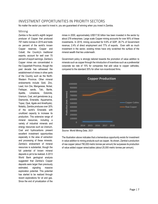# <span id="page-7-0"></span>INVESTMENT OPPORTUNITIES IN PRIORITY SECTORS

No matter the sector you want to invest in, you are guaranteed of winning when you invest in Zambia.

### <span id="page-7-1"></span>Mining

Zambia is the world's eighth largest producer of Copper that produced 797 metric tonnes in 2019 and holds six percent of the world's known Copper reserves. Copper and Cobalt, the Country's traditional exports, account for well over 70 percent of export earnings. Zambia's Copper mines are concentrated in the Copperbelt Province, though the past decade has witnessed the establishment of mines in other parts of the Country such as the North-Western Province. Other mineral endowments include Gold, Zinc, Lead, Iron Ore, Manganese, Nickel, Feldspar, sands, Talc, Barite, Apatite, Limestone, Dolomite, Uranium, Coal, and gemstones (e.g. Diamonds, Emeralds, Aquamarine, Topaz, Opal, Agate and Amethysts). Notably, Zambia produces over 20% of the world's Emeralds with unutilized capacity to increase its production. This extensive range of mineral resources, including a variety of industrial minerals and energy resources such as Uranium, Coal and hydrocarbons present excellent investment opportunities especially in the area of extraction and processing of these minerals. Zambia's endowment of mineral resources is substantial, though the full potential of known mineral deposits is yet to be realized. A 2013 World Bank geological analysis suggested that Zambia's Copper deposits were larger than previously estimated, signaling massive exploration potential. This potential has started to be realized through recent explorations for oil and gas. Since the end of privatization of the

mines in 2000, approximately US\$17.50 billion has been invested in the sector by about 278 enterprises. Large scale Copper mining accounts for over 90% of these investments. In 2019, mining accounted for 9.9% of GDP, 26.7% of Government revenue, 2.4% of direct employment and 77% of exports. Even with so much investment in the sector, existing mines have only scratched the surface of the mineral wealth that lies underneath.

Government policy is strongly tailored towards the promotion of value addition to minerals such as copper through the introduction of incentives such as a preferential corporate tax rate of 15% for companies that add value to copper cathodes, compared to the standard 35% for other non-incentivized firms.



*Source: World Mining Data, 2021*

The illustration above indicates that a tremendous opportunity exists for investment in value addition to mining products such as copper. As shown, Zambia's production of raw copper (about 790,000 metric tonnes per annum) far surpasses its production of value added copper wires/cables (about 25,000 metric tonnes per annum).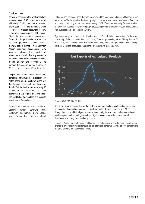# <span id="page-8-0"></span>Agriculture

Zambia is endowed with a vast arable land resource base of 42 million hectares of which only 1.5 million hectares is cultivated every year. It has abundant water resources for irrigation accounting for 40 % of the water resource in the SADC region. Given its vast resource endowment, Zambia has huge potential to expand its agricultural production. Its climate follows a similar pattern to that of most Southern African countries, experiencing rainy seasons between the months of November and April. The dry season is characterized by low humidity between the months of May and November. The average temperature in the summer is 30°C and gets as low as 5°C in the winter.

Despite the availability of vast arable land, transport infrastructure, availability of water, cheap labour, as shown by the fact that the Agricultural sector employs more than half of the total labour force, only 10 percent of the arable land is under cultivation. In that regard, the Government has established farming blocks to facilitate investment in Agriculture.

Zambia's traditional crops include Maize, Cassava, Wheat, Sorghum, Rice, Sunflower, Groundnuts, Soya Beans, Mixed Beans, Irish Potatoes, Sweet

Potatoes, and Tobacco. Recent efforts have yielded the creation of a lucrative Cashewnut sub sector in the Western part of the Country. Agriculture remains a major contributor to Zambia's economy, contributing about 13% to the country's GDP. The current drive by Government is to enhance value addition by promoting Agro-processing through programmes such as the Zambia Agri-business and Trade Project (ZATP).

Agro-processing opportunities in Zambia are in Peanut butter production, Cashew nut processing, Animal or Stock feed production, Cassava processing, Grain Milling, Edible Oil Production, Fruit Canning, Juice Extraction, Meat, dairy and leather production, Fish Canning, Textiles, Bio-diesel production, and Honey processing, to mention a few.



*Source: UNCTADSTATS, 2021*

The above graph indicates that for the past 10 years, Zambia has maintained its status as a net exporter of agricultural products. As shown by the decline in exports in 2013, the drought that occurred in that year reveals an opportunity for investment in the production of modern agricultural technologies such as irrigation systems as well as research and development in drought-resistant crop breeds.

Since the Agriculture sector was identified as a priority sector of development, incentives are offered to investors in this sector such as a preferential corporate tax rate of 10% compared to the 35% levied to un-incentivized sectors.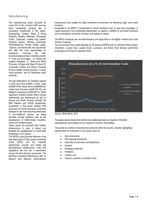# <span id="page-9-0"></span>Manufacturing

The manufacturing sector accounts for nearly 8% of the country's GDP and has been consistently growing due to increasing investments in the sector. Engineering, Textiles, Wood & Wood Products, Building Materials, Processed Foods, Chemicals, Leather and Leather Products, Electric Vehicles, Chemicals, Pharmaceuticals, Rubber, Plastic, paper, Tobacco, and Handicrafts are sub-sectors that offer the most opportunities for investment. Currently, the main manufacturing activities in Zambia are the: 1) Food and beverages ; 2) Textile and Leather Industries; 3) Wood and Wood Products; 4) Paper and Paper Products 5) Chemicals, Rubber and Plastic Products 6) Non-metallic mineral products; 7) basic metal products; and 8) Fabricated metal products.

The top destinations for Zambian exports in 2016 are China (USS\$ 2.14 Bn), India (USS\$719 M), South Africa (USS\$486 M), United Arab Emirates (USS\$ 392 M), and Belgium-Luxemburg (USS\$ 297 m). Other significant markets outside Africa include Netherlands and Switzerland as well as Europe and North America through the EBA Initiative and AGOA respectively. Investment in this sector attracts both fiscal and non-fiscal incentives. Incentives designed to aid manufacturing enterprises in non-traditional sectors are being provided through initiatives such as the development of Multi-Facility Economic Zones and industrial parks.

These zones are provided with modern infrastructure in order to attract and facilitate the establishment of world-class enterprises in the country.

The MFEZs blend the best features of the free trade zones (FTZs), export processing zones (EPZs) and the industrial parks/zones concept and create the administrative infrastructure, rules and regulations etc that are a benchmark among the best dynamic economies. The blending of physical infrastructure with an efficient and effective administrative

infrastructure has created the ideal investment environment for attracting major world class investors.

Investment in an MFEZ is incentivized by fiscal incentives such as duty free importation of capital equipment and accelerated depreciation on capital in addition to non-fiscal incentives such as facilitation of permits, licenses, and access to utilities.

The MFEZ incentives are non-discriminatory and apply fairly to all eligible investors be it from Zambia or abroad.

The Government has to date declared six (6) areas as MFEZs and /or Industrial Parks namely: Chambishi, Lusaka East, Lusaka South, Lumwana; and Ndola (Sub Saharan gemstones exchange) and Roma as Industrial Parks.



*Source: World Bank, 2021*

The graph above shows that Zambia has traditionally been an importer of finished manufactured commodities and an exporter of primary commodities.

This points to a deficit of manufactured products within the Country, thereby highlighting opportunities for investment in sub-sectors such as:

- Agro-processing;
- Pharmaceutical products;
- Assembly of machinery and equipment;
- Cement:
- Packaging materials;
- Fertilizers;
- Textiles; and
- Tobacco products, to mention a few.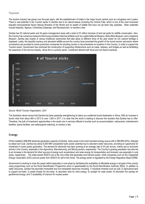# <span id="page-10-0"></span>Tourism

The tourism industry has grown over the past years, with the establishment of hotels in the major tourist centres such as Livingstone and Lusaka. There is vast potential in the Tourism sector in Zambia due to its natural beauty (including the Victoria Falls, which is one of the most renowned beautiful transcendental Seven Natural Wonders of the World) and its wealth of wildlife that have not yet been fully exploited. Other waterfalls include Kalambo, Ngonye, Chishimba,Chipempe, and Ntumbachushi, to mention a few.

Zambia has 20 national parks and 34 game management areas with a total of 23 million hectares of land set aside for wildlife conservation. Also, the Country has numerous museums that house priceless historical artifacts such as Lusaka National Museum, Moto-Moto Museum, and Livingstone Museum. Zambia also boasts of various traditional ceremonies that take place at different times of the year where its rich cultural heritage is displayed. Lastly, the beautiful scenery and abundant wildlife around the country have promoted the growth of the movie tourism sub-sector where concessions are provided to movie production companies for shooting movies or documentaries on locations in the Country. In order to support the Tourism sector, Government has continued the construction of supporting infrastructure such as roads, railways, and bridges as well as facilitating the expansion of the service industry. Since this is a priority sector, investment attracts both fiscal and non-fiscal incentives.



*Source: World Tourism Organization, 2021*

<span id="page-10-1"></span>The illustration above shows that Zambia has been gradually strengthening its status as a preferred tourist destination in Africa. With an increase in tourist visits from about 900 in 2013 to over 1,000 in 2017, it is clear that the world is starting to discover the wonders that Zambia has to offer. Therefore, the bulk of investment opportunities in the sector are in services offered to tourists such as accommodation, restaurants, entertainment facilities, sports facilities, and safaris/game watching, to mention a few.

# Energy

Of the installed 2,898 MW electricity generation capacity of Zambia, hydro power is the most important energy source with 2,398 MW (83%), followed by diesel and Coal. Zambia has about 6,000 MW unexploited hydro power potential due to abundant water resources, providing an opportunity for investment in hydro power generation. The demand for electricity has been growing at an average rate of 4% per annum, mainly due to economic activity in the Country, especially in the Agriculture, Manufacturing, and Mining sectors, respectively. The Country's growing population has also led to an increase in the demand for other sources of energy such as petroleum and solar energy for transportation and domestic use especially in rural areas, respectively. The state-owned ZESCO Ltd is the only entity that generates and transmit power, while companies such as the Copperbelt Energy Corporation (CEC) procure power from ZESCO for sell to the mines. The energy sector is regulated by the Energy Regulation Board (ERB).

Government is working to close the power deficit especially in rural areas by facilitating the availability of affordable energy in all parts of the country using programmes such as the Rural Electrification Programme which is spearheaded by the Rural Electrification Authority (REA). In addition to water resources, Zambia has abundant renewable and non-renewable resources including: 1) industrial minerals such as coal; 2) Agricultural land to support bio-fuels; 3) ample forests for bio-mass; 4) abundant wind for wind energy; 5) sunlight for solar power; 6) abundant hot springs for geothermal energy; and 7) availability of Uranium for nuclear power.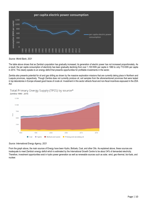

### *Source: World Bank, 2021*

The table above shows that as Zambia's population has gradually increased, its generation of electric power has not increased proportionately. As a result, the per capita consumption of electricity has been gradually declining from over 1,100 KWh per capita in 1980 to only 715 KWh per capita in 2014. This clearly speaks to an energy deficit that presents opportunities for profitable investments in the sector.

Zambia also presents potential for oil and gas drilling as shown by the massive exploration missions that are currently taking place in Northern and Luapula provinces, respectively. Though Zambia does not currently produce oil, soil samples from the aforementioned provinces that were tested in top laboratories in Europe showed good traces of crude oil. Investment in this sector attracts fiscal and non-fiscal incentives espoused in the ZDA Act.

Total Primary Energy Supply (TPES) by source\*



*Source: International Energy Agency, 2021*

From the graph above, the main sources of Energy have been Hydro, Biofuels, Coal, and other Oils. As explained above, these sources are inadequate to meet Zambia's energy deficit which is estimated by the International Growth Centre to be about 34% of demanded electricity. Therefore, investment opportunities exist in hydro power generation as well as renewable sources such as solar, wind, geo-thermal, bio-fuels, and nuclear.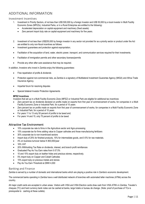# <span id="page-12-1"></span><span id="page-12-0"></span>ADDITIONAL INFORMATION

# Investment Incentives

- 1. Investment in Priority Sectors, of not less than US\$ 500,000 by a foreign Investor and US\$ 50,000 by a local investor in Multi Facility Economic Zones (MFEZs), Industrial Parks, or in a Rural Enterprise are entitled to the following**:**
	- Accelerated depreciation on capital equipment and machinery (fixed assets)
	- Zero percent import duty rate on capital equipment and machinery for five years.
- 2. Investment of not less than US\$250,000 by foreign investor in any sector not provided for as a priority sector or product under the Act are entitled to only non-fiscal incentives as follows:
- Investment guarantees and protection against expropriation;
- Facilitation of the acquisition of land, water, electric power, transport, and communication services required for their investments;
- Facilitation of immigration permits and other secondary licenses/permits
- Provide any other after-care assistance that may be required.

In addition, Investors who invest in Zambia enjoy the following guarantees:

- Free repatriation of profits & dividends
- Protection against non-commercial risks, as Zambia is a signatory of Multilateral Investment Guarantee Agency (MIGA) and Africa Trade Insurance Agency.
- Impartial forum for resolving disputes
- Special bilateral Investor Protection Agreements

### **MFEZ Incentives**

Investors that set up in a Multi Facility Economic Zone (MFEZ) or Industrial Park are eligible for additional tax incentives:

- Zero percent tax on dividends declared on profits made on exports from first year of commencement of works, for companies in a Multi Facility Economic Zone or Industrial Park, for a period of 10 years
- Zero percent tax on profits made on exports from first year of commencement of works, for companies in a Multi Facility Economic Zone or Industrial Park, for a period of 10 years
- <span id="page-12-2"></span>• For years 11 to 13 only 50 percent of profits to be taxed and;
- For years 14 and 15, only 75 percent of profits to be taxed

# Attractive Tax Environment

- 10% corporate tax rate to firms in the Agriculture sector and Agro-processing
- 15% corporate tax for firms adding value to Copper cathodes and those manufacturing fertilizers
- 30% corporate tax to non-incentivized sectors
- Import duty of 25% for finished products, 15% for intermediate goods, and 0-5% for raw materials.
- 4% on business turnover below K 800,000/year
- 16% VAT
- 20% Withholding Tax Rate on dividends, interest, and branch profit remittances
- Graduated Pay As You Earn rates from 0-37.5%
- 10 and 15% export duty on leather hides and precious stones, respectively.
- <span id="page-12-3"></span>• 5% import duty on Copper and Cobalt Cathodes
- 15% export duty on precious metals and stones
- Pay As You Earn Threshold at ZMW 4,000

# Banking and Finance

Zambia is served by a number of domestic and international banks which are playing a positive role in Zambia's economic development.

The commercial banks operating in Zambia have a well distributed network of branches with automated teller machines (ATMs) across the country.

All major credit cards are accepted in urban areas. Visitors with VISA and VISA Electron cards draw cash from VISA ATM's in Zambia. Traveler's cheques (TC) and hard currency bank notes can be cashed at banks, large hotels or bureau de change. (Note: proof of purchase of TCs is prerequisite to cashing at these outlets).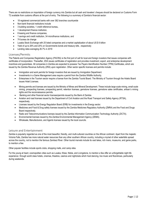There are no restrictions on importation of foreign currency into Zambia but all cash and travelers' cheques should be declared on Customs Form T2 available from customs officers at the port of entry. The following is a summary of Zambia's financial sector:

- 18 registered commercial banks with over 382 branches countrywide
- Non-bank financial institutions include
- 3 building societies, 1 credit reference bureau,
- 1 development finance institution,
- 8 leasing and finance companies,
- 1 savings and credit institution, 34 microfinance institutions, and
- 74 bureau de change
- <span id="page-13-0"></span>• Lusaka Stock Exchange with 25 listed companies and a market capitalization of about US \$ 6 billion
- Yield of up to 26% and 20% on Governments bonds and treasury bills , respectively
- Lending rates averaging 26.7% in 2019

# Licenses/Permits

The Patents and Companies Registration Agency (PACRA) is the first port of call for local and foreign investors that issues companies with certificates of incorporation. Thereafter, ZDA issues certificates of registration and provides investment, export, and enterprise development incentives and guarantees. All companies in Zambia are expected to possess Tax Payers Identification Number (TPIN) Certificates, which are issued by the Zambia Revenue Authority (ZRA) upon registration. Other sector specific licenses and permits include:

- Immigration and work permits for foreign investors that are issued by Immigration Department.
- Investments in a Game Management area require a permit from the Zambia Wildlife Authority.
- Enterprises in the Tourism sector require a license from the Zambia Tourist Board. The Ministry of Tourism through the Hotels Board issues Hotel Licenses.
- Mining permits and licenses are issued by the Ministry of Mines and Mineral Development. These include large scale mining, small scale mining, prospecting licenses, prospecting permit, retention licenses, gemstone licenses, gemstone sales certificates, artisan's mining rights and the reconnaissance permits.
- Banking and other financial sector licenses/permits issued by the Bank of Zambia
- Aviation and road licenses issued by the Department of Civil Aviation and the Road Transport and Safety Agency (RTSA), respectively.
- Licenses issued by the Energy Regulation Board (ERB) for investments in the Energy sector.
- Medicines and Food & Drug safety licenses issued by the Zambia Medicines Regulatory Authority (ZMRA) and the Food and Drugs Board respectively.
- Radio and Telecommunications licenses issued by the Zambia Information Communication Technology Authority (ZICTA).
- <span id="page-13-1"></span>• Environmental licenses issued by the Zambia Environmental Management Agency (ZEMA).
- Wholesale, Manufacturers, and Agents licenses issued by the local councils.

# Leisure and Entertainment

Zambia is popularly regarded as one of the most beautiful, friendly, and multi-cultured countries on the African continent. Apart from the majestic Victoria Falls, Zambia has more natural water resources than any other southern African country, including a myriad of other waterfalls spread across the country, not to mention the famous Zambezi River. Other tourist marvels include its vast lakes, rich rivers, museums, and game parks, to mention a few.

Other popular facilities include sports clubs, shopping malls, and camp sites.

For the young at heart, cosmopolitan cities such as Lusaka, Kitwe, Ndola, and Livingstone, to mention a few offer an unforgettable night life experience through world class hotels, cinemas, theatres, casinos and nightclubs which host dancing, live music and floorshows, particularly during weekends.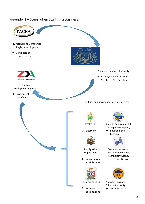# <span id="page-14-0"></span>Appendix 1 – Steps when Starting a Business

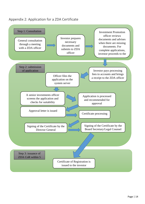# <span id="page-15-0"></span>Appendix 2: Application for a ZDA Certificate

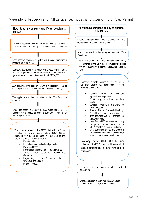# <span id="page-16-0"></span>Appendix 3: Procedure for MFEZ License, Industrial Cluster or Rural Area Permit

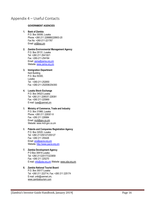# <span id="page-17-0"></span>Appendix 4 – Useful Contacts

### **GOVERNMENT AGENCIES**

# **1. Bank of Zambia**

P.O. Box 30008, Lusaka Phone: +260 211 228888/228903-20 Fax No: +260-211-221767 Email: [pr@boz.zm](mailto:pr@boz.zm)

### **2. Zambia Environmental Management Agency** P.O. Box 35131, Lusaka Tel: +260 211 254130/1 Fax: +260-211-254164 Email: [zema@zema.org.zm](mailto:zema@zema.org.zm)  Website: [www.zema.org.zm](http://www.zema.org.zm/)

### **3. Immigration Department**

Kent Building P.O. Box 50300, Lusaka Tel : +260-211-252650 Fax :+260-211-252008/254393

# **4. Lusaka Stock Exchange**

P.O. Box 34523 Lusaka Tel: +260 211 228537/ 228391 Fax: +260 211-225969 E-mail: [luse@zamnet.zm](mailto:luse@zamnet.zm)

### 5. **Ministry of Commerce, Trade and Industry**  P.O. Box 31968, Lusaka Phone: +260 211 228301-9 Fax: +260 211 226984 Email: [mcti@gov.co.zm](mailto:mcti@gov.co.zm) Website: www.mcti.gov.co.zm

### 6. **Patents and Companies Registration Agency** P.O. Box 32020, Lusaka Tel: +260 211255127/255127 Fax: +260 211 255426 Email: [pro@pacra.org.zm](mailto:pro@pacra.org.zm) Website: [http://www.pacra.org.zm](http://www.pacra.org.zm/)

# **7. Zambia Development Agency**  P O Box 30819 Lusaka Tel: +260 211220177/223859 Fax: +260 211 225270 E-mail: [info@zda.org.zm](mailto:info@zda.org.zm) Website[: www.zda.org.zm](http://www.zda.org.zm/)

### **8. Zambia National Tourist Board**  P.O. Box 30017 Lusaka Tel: +260 211 222714, Fax: +260 211 225174 E-mail: zntb@zamnet.zm, [www.zambiatourism.com](http://www.zambiatourism.com/)